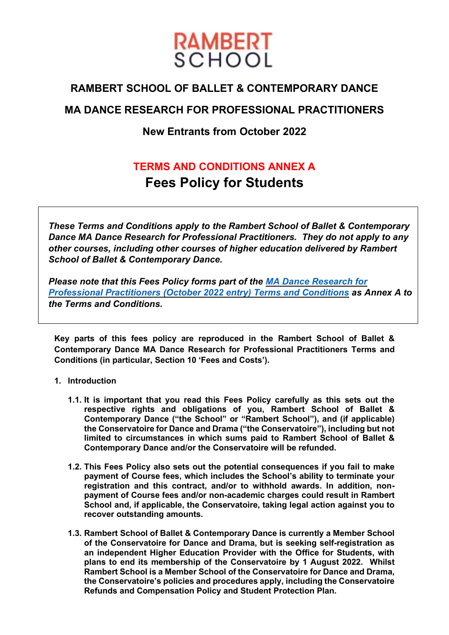

# **RAMBERT SCHOOL OF BALLET & CONTEMPORARY DANCE**

# **MA DANCE RESEARCH FOR PROFESSIONAL PRACTITIONERS**

# **New Entrants from October 2022**

# **TERMS AND CONDITIONS ANNEX A Fees Policy for Students**

*These Terms and Conditions apply to the Rambert School of Ballet & Contemporary Dance MA Dance Research for Professional Practitioners. They do not apply to any other courses, including other courses of higher education delivered by Rambert School of Ballet & Contemporary Dance.*

*Please note that this Fees Policy forms part of the [MA Dance Research for](https://www.rambertschool.org.uk/courses/policies-and-procedures/)  [Professional Practitioners \(October](https://www.rambertschool.org.uk/courses/policies-and-procedures/) 2022 entry) Terms and Conditions as Annex A to the Terms and Conditions.*

**Key parts of this fees policy are reproduced in the Rambert School of Ballet & Contemporary Dance MA Dance Research for Professional Practitioners Terms and Conditions (in particular, Section 10 'Fees and Costs').**

## **1. Introduction**

- **1.1. It is important that you read this Fees Policy carefully as this sets out the respective rights and obligations of you, Rambert School of Ballet & Contemporary Dance ("the School" or "Rambert School"), and (if applicable) the Conservatoire for Dance and Drama ("the Conservatoire"), including but not limited to circumstances in which sums paid to Rambert School of Ballet & Contemporary Dance and/or the Conservatoire will be refunded.**
- **1.2. This Fees Policy also sets out the potential consequences if you fail to make payment of Course fees, which includes the School's ability to terminate your registration and this contract, and/or to withhold awards. In addition, nonpayment of Course fees and/or non-academic charges could result in Rambert School and, if applicable, the Conservatoire, taking legal action against you to recover outstanding amounts.**
- **1.3. Rambert School of Ballet & Contemporary Dance is currently a Member School of the Conservatoire for Dance and Drama, but is seeking self-registration as an independent Higher Education Provider with the Office for Students, with plans to end its membership of the Conservatoire by 1 August 2022. Whilst Rambert School is a Member School of the Conservatoire for Dance and Drama, the Conservatoire's policies and procedures apply, including the Conservatoire Refunds and Compensation Policy and Student Protection Plan.**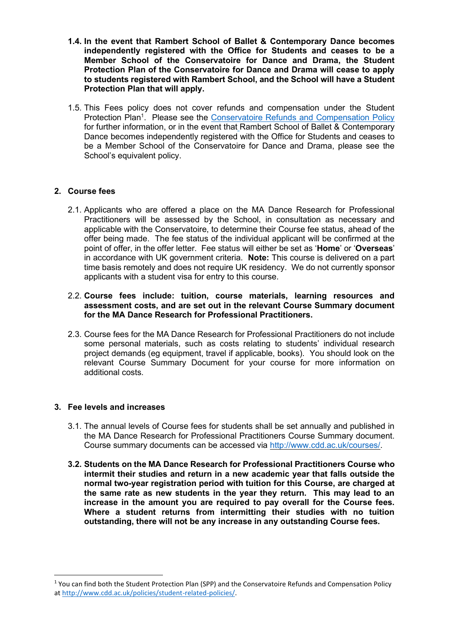- **1.4. In the event that Rambert School of Ballet & Contemporary Dance becomes independently registered with the Office for Students and ceases to be a Member School of the Conservatoire for Dance and Drama, the Student Protection Plan of the Conservatoire for Dance and Drama will cease to apply to students registered with Rambert School, and the School will have a Student Protection Plan that will apply.**
- 1.5. This Fees policy does not cover refunds and compensation under the Student Protection Plan<sup>1</sup>. Please see the [Conservatoire Refunds and Compensation Policy](http://www.cdd.ac.uk/policies/student-related-policies/) for further information, or in the event that Rambert School of Ballet & Contemporary Dance becomes independently registered with the Office for Students and ceases to be a Member School of the Conservatoire for Dance and Drama, please see the School's equivalent policy.

# **2. Course fees**

2.1. Applicants who are offered a place on the MA Dance Research for Professional Practitioners will be assessed by the School, in consultation as necessary and applicable with the Conservatoire, to determine their Course fee status, ahead of the offer being made. The fee status of the individual applicant will be confirmed at the point of offer, in the offer letter. Fee status will either be set as '**Home**' or '**Overseas**' in accordance with UK government criteria. **Note:** This course is delivered on a part time basis remotely and does not require UK residency. We do not currently sponsor applicants with a student visa for entry to this course.

#### 2.2. **Course fees include: tuition, course materials, learning resources and assessment costs, and are set out in the relevant Course Summary document for the MA Dance Research for Professional Practitioners.**

2.3. Course fees for the MA Dance Research for Professional Practitioners do not include some personal materials, such as costs relating to students' individual research project demands (eg equipment, travel if applicable, books). You should look on the relevant Course Summary Document for your course for more information on additional costs.

## **3. Fee levels and increases**

- 3.1. The annual levels of Course fees for students shall be set annually and published in the MA Dance Research for Professional Practitioners Course Summary document. Course summary documents can be accessed via [http://www.cdd.ac.uk/courses/.](http://www.cdd.ac.uk/courses/)
- **3.2. Students on the MA Dance Research for Professional Practitioners Course who intermit their studies and return in a new academic year that falls outside the normal two-year registration period with tuition for this Course, are charged at the same rate as new students in the year they return. This may lead to an increase in the amount you are required to pay overall for the Course fees. Where a student returns from intermitting their studies with no tuition outstanding, there will not be any increase in any outstanding Course fees.**

<sup>1</sup> You can find both the Student Protection Plan (SPP) and the Conservatoire Refunds and Compensation Policy a[t http://www.cdd.ac.uk/policies/student-related-policies/.](http://www.cdd.ac.uk/policies/student-related-policies/)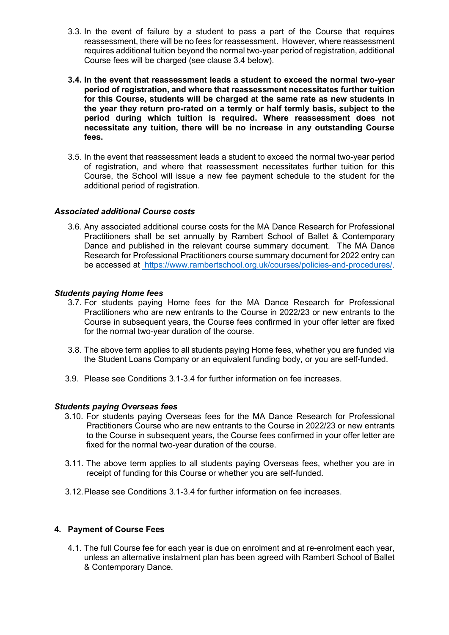- 3.3. In the event of failure by a student to pass a part of the Course that requires reassessment, there will be no fees for reassessment. However, where reassessment requires additional tuition beyond the normal two-year period of registration, additional Course fees will be charged (see clause 3.4 below).
- **3.4. In the event that reassessment leads a student to exceed the normal two-year period of registration, and where that reassessment necessitates further tuition for this Course, students will be charged at the same rate as new students in the year they return pro-rated on a termly or half termly basis, subject to the period during which tuition is required. Where reassessment does not necessitate any tuition, there will be no increase in any outstanding Course fees.**
- 3.5. In the event that reassessment leads a student to exceed the normal two-year period of registration, and where that reassessment necessitates further tuition for this Course, the School will issue a new fee payment schedule to the student for the additional period of registration.

#### *Associated additional Course costs*

3.6. Any associated additional course costs for the MA Dance Research for Professional Practitioners shall be set annually by Rambert School of Ballet & Contemporary Dance and published in the relevant course summary document. The MA Dance Research for Professional Practitioners course summary document for 2022 entry can be accessed at [https://www.rambertschool.org.uk/courses/policies-and-procedures/.](https://www.rambertschool.org.uk/courses/policies-and-procedures/)

#### *Students paying Home fees*

- 3.7. For students paying Home fees for the MA Dance Research for Professional Practitioners who are new entrants to the Course in 2022/23 or new entrants to the Course in subsequent years, the Course fees confirmed in your offer letter are fixed for the normal two-year duration of the course.
- 3.8. The above term applies to all students paying Home fees, whether you are funded via the Student Loans Company or an equivalent funding body, or you are self-funded.
- 3.9. Please see Conditions 3.1-3.4 for further information on fee increases.

#### *Students paying Overseas fees*

- 3.10. For students paying Overseas fees for the MA Dance Research for Professional Practitioners Course who are new entrants to the Course in 2022/23 or new entrants to the Course in subsequent years, the Course fees confirmed in your offer letter are fixed for the normal two-year duration of the course.
- 3.11. The above term applies to all students paying Overseas fees, whether you are in receipt of funding for this Course or whether you are self-funded.
- 3.12.Please see Conditions 3.1-3.4 for further information on fee increases.

## **4. Payment of Course Fees**

4.1. The full Course fee for each year is due on enrolment and at re-enrolment each year, unless an alternative instalment plan has been agreed with Rambert School of Ballet & Contemporary Dance.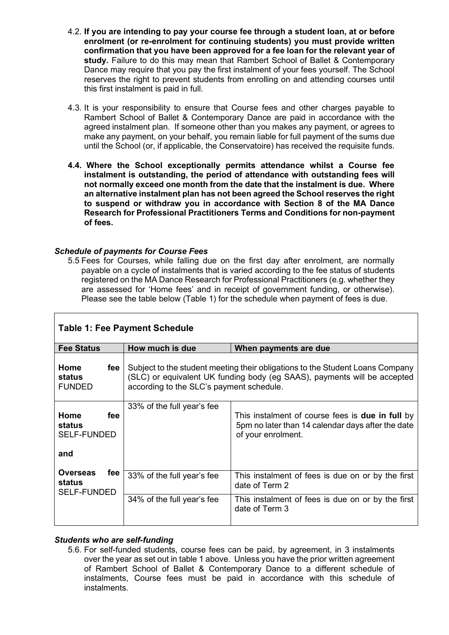- 4.2. **If you are intending to pay your course fee through a student loan, at or before enrolment (or re-enrolment for continuing students) you must provide written confirmation that you have been approved for a fee loan for the relevant year of study.** Failure to do this may mean that Rambert School of Ballet & Contemporary Dance may require that you pay the first instalment of your fees yourself. The School reserves the right to prevent students from enrolling on and attending courses until this first instalment is paid in full.
- 4.3. It is your responsibility to ensure that Course fees and other charges payable to Rambert School of Ballet & Contemporary Dance are paid in accordance with the agreed instalment plan. If someone other than you makes any payment, or agrees to make any payment, on your behalf, you remain liable for full payment of the sums due until the School (or, if applicable, the Conservatoire) has received the requisite funds.
- **4.4. Where the School exceptionally permits attendance whilst a Course fee instalment is outstanding, the period of attendance with outstanding fees will not normally exceed one month from the date that the instalment is due. Where an alternative instalment plan has not been agreed the School reserves the right to suspend or withdraw you in accordance with Section 8 of the MA Dance Research for Professional Practitioners Terms and Conditions for non-payment of fees.**

# *Schedule of payments for Course Fees*

Г

5.5 Fees for Courses, while falling due on the first day after enrolment, are normally payable on a cycle of instalments that is varied according to the fee status of students registered on the MA Dance Research for Professional Practitioners (e.g. whether they are assessed for 'Home fees' and in receipt of government funding, or otherwise). Please see the table below (Table 1) for the schedule when payment of fees is due.

| <b>Table 1: Fee Payment Schedule</b>            |     |                                                                                                                                                                                                       |                                                                                                                                    |  |
|-------------------------------------------------|-----|-------------------------------------------------------------------------------------------------------------------------------------------------------------------------------------------------------|------------------------------------------------------------------------------------------------------------------------------------|--|
| <b>Fee Status</b>                               |     | How much is due                                                                                                                                                                                       | When payments are due                                                                                                              |  |
| Home<br>status<br><b>FUNDED</b>                 | fee | Subject to the student meeting their obligations to the Student Loans Company<br>(SLC) or equivalent UK funding body (eg SAAS), payments will be accepted<br>according to the SLC's payment schedule. |                                                                                                                                    |  |
| Home<br>status<br><b>SELF-FUNDED</b><br>and     | fee | 33% of the full year's fee                                                                                                                                                                            | This instalment of course fees is <b>due in full</b> by<br>5pm no later than 14 calendar days after the date<br>of your enrolment. |  |
| <b>Overseas</b><br>status<br><b>SELF-FUNDED</b> | fee | 33% of the full year's fee                                                                                                                                                                            | This instalment of fees is due on or by the first<br>date of Term 2                                                                |  |
|                                                 |     | 34% of the full year's fee                                                                                                                                                                            | This instalment of fees is due on or by the first<br>date of Term 3                                                                |  |

## *Students who are self-funding*

5.6. For self-funded students, course fees can be paid, by agreement, in 3 instalments over the year as set out in table 1 above. Unless you have the prior written agreement of Rambert School of Ballet & Contemporary Dance to a different schedule of instalments, Course fees must be paid in accordance with this schedule of instalments.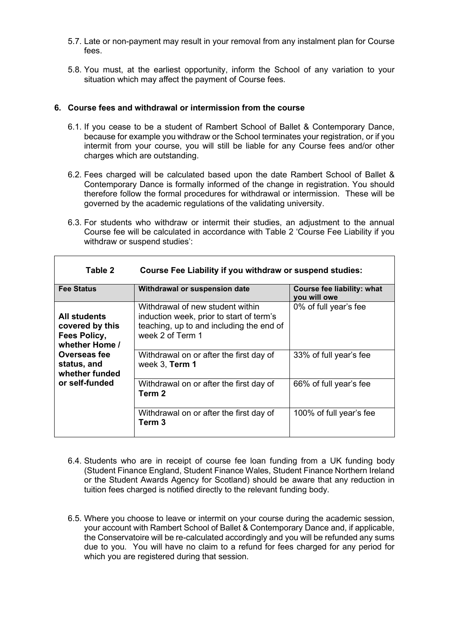- 5.7. Late or non-payment may result in your removal from any instalment plan for Course fees.
- 5.8. You must, at the earliest opportunity, inform the School of any variation to your situation which may affect the payment of Course fees.

#### **6. Course fees and withdrawal or intermission from the course**

- 6.1. If you cease to be a student of Rambert School of Ballet & Contemporary Dance, because for example you withdraw or the School terminates your registration, or if you intermit from your course, you will still be liable for any Course fees and/or other charges which are outstanding.
- 6.2. Fees charged will be calculated based upon the date Rambert School of Ballet & Contemporary Dance is formally informed of the change in registration. You should therefore follow the formal procedures for withdrawal or intermission. These will be governed by the academic regulations of the validating university.
- 6.3. For students who withdraw or intermit their studies, an adjustment to the annual Course fee will be calculated in accordance with Table 2 'Course Fee Liability if you withdraw or suspend studies':

| <b>Fee Status</b>                                                 | Withdrawal or suspension date                                                                                                                | <b>Course fee liability: what</b><br>you will owe |
|-------------------------------------------------------------------|----------------------------------------------------------------------------------------------------------------------------------------------|---------------------------------------------------|
| All students<br>covered by this<br>Fees Policy,<br>whether Home / | Withdrawal of new student within<br>induction week, prior to start of term's<br>teaching, up to and including the end of<br>week 2 of Term 1 | 0% of full year's fee                             |
| Overseas fee<br>status, and<br>whether funded                     | Withdrawal on or after the first day of<br>week 3, Term 1                                                                                    | 33% of full year's fee                            |
| or self-funded                                                    | Withdrawal on or after the first day of<br>Term <sub>2</sub>                                                                                 | 66% of full year's fee                            |
|                                                                   | Withdrawal on or after the first day of<br>Term 3                                                                                            | 100% of full year's fee                           |

**Table 2 Course Fee Liability if you withdraw or suspend studies:**

- 6.4. Students who are in receipt of course fee loan funding from a UK funding body (Student Finance England, Student Finance Wales, Student Finance Northern Ireland or the Student Awards Agency for Scotland) should be aware that any reduction in tuition fees charged is notified directly to the relevant funding body.
- 6.5. Where you choose to leave or intermit on your course during the academic session, your account with Rambert School of Ballet & Contemporary Dance and, if applicable, the Conservatoire will be re-calculated accordingly and you will be refunded any sums due to you. You will have no claim to a refund for fees charged for any period for which you are registered during that session.